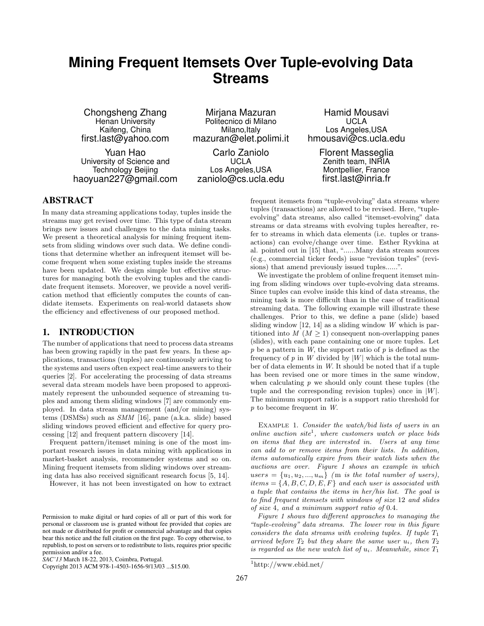# **Mining Frequent Itemsets Over Tuple-evolving Data Streams**

Chongsheng Zhang Henan University Kaifeng, China first.last@yahoo.com

Yuan Hao University of Science and Technology Beijing haoyuan227@gmail.com

Mirjana Mazuran Politecnico di Milano Milano, Italy mazuran@elet.polimi.it

Carlo Zaniolo UCLA Los Angeles,USA zaniolo@cs.ucla.edu

Hamid Mousavi UCLA Los Angeles,USA hmousavi@cs.ucla.edu

> Florent Masseglia Zenith team, INRIA Montpellier, France first.last@inria.fr

# ABSTRACT

In many data streaming applications today, tuples inside the streams may get revised over time. This type of data stream brings new issues and challenges to the data mining tasks. We present a theoretical analysis for mining frequent itemsets from sliding windows over such data. We define conditions that determine whether an infrequent itemset will become frequent when some existing tuples inside the streams have been updated. We design simple but effective structures for managing both the evolving tuples and the candidate frequent itemsets. Moreover, we provide a novel verification method that efficiently computes the counts of candidate itemsets. Experiments on real-world datasets show the efficiency and effectiveness of our proposed method.

## 1. INTRODUCTION

The number of applications that need to process data streams has been growing rapidly in the past few years. In these applications, transactions (tuples) are continuously arriving to the systems and users often expect real-time answers to their queries [2]. For accelerating the processing of data streams several data stream models have been proposed to approximately represent the unbounded sequence of streaming tuples and among them sliding windows [7] are commonly employed. In data stream management (and/or mining) systems (DSMSs) such as SMM [16], pane (a.k.a. slide) based sliding windows proved efficient and effective for query processing [12] and frequent pattern discovery [14].

Frequent pattern/itemset mining is one of the most important research issues in data mining with applications in market-basket analysis, recommender systems and so on. Mining frequent itemsets from sliding windows over streaming data has also received significant research focus [5, 14].

However, it has not been investigated on how to extract

Copyright 2013 ACM 978-1-4503-1656-9/13/03 ...\$15.00.

frequent itemsets from "tuple-evolving" data streams where tuples (transactions) are allowed to be revised. Here, "tupleevolving" data streams, also called "itemset-evolving" data streams or data streams with evolving tuples hereafter, refer to streams in which data elements (i.e. tuples or transactions) can evolve/change over time. Esther Ryvkina at al. pointed out in [15] that, "......Many data stream sources (e.g., commercial ticker feeds) issue "revision tuples" (revisions) that amend previously issued tuples......".

We investigate the problem of online frequent itemset mining from sliding windows over tuple-evolving data streams. Since tuples can evolve inside this kind of data streams, the mining task is more difficult than in the case of traditional streaming data. The following example will illustrate these challenges. Prior to this, we define a pane (slide) based sliding window  $[12, 14]$  as a sliding window W which is partitioned into  $M (M > 1)$  consequent non-overlapping panes (slides), with each pane containing one or more tuples. Let  $p$  be a pattern in  $W$ , the support ratio of  $p$  is defined as the frequency of p in W divided by  $|W|$  which is the total number of data elements in W. It should be noted that if a tuple has been revised one or more times in the same window, when calculating  $p$  we should only count these tuples (the tuple and the corresponding revision tuples) once in  $|W|$ . The minimum support ratio is a support ratio threshold for p to become frequent in W.

Example 1. Consider the watch/bid lists of users in an online auction site<sup>1</sup>, where customers watch or place bids on items that they are interested in. Users at any time can add to or remove items from their lists. In addition, items automatically expire from their watch lists when the auctions are over. Figure 1 shows an example in which users  $=\{u_1, u_2, ..., u_m\}$  (m is the total number of users),  $items = \{A, B, C, D, E, F\}$  and each user is associated with a tuple that contains the items in her/his list. The goal is to find frequent itemsets with windows of size 12 and slides of size 4, and a minimum support ratio of 0.4.

Figure 1 shows two different approaches to managing the "tuple-evolving" data streams. The lower row in this figure considers the data streams with evolving tuples. If tuple  $T_1$ arrived before  $T_2$  but they share the same user  $u_i$ , then  $T_2$ is regarded as the new watch list of  $u_i$ . Meanwhile, since  $T_1$ 

Permission to make digital or hard copies of all or part of this work for personal or classroom use is granted without fee provided that copies are not made or distributed for profit or commercial advantage and that copies bear this notice and the full citation on the first page. To copy otherwise, to republish, to post on servers or to redistribute to lists, requires prior specific permission and/or a fee.

*SAC'13* March 18-22, 2013, Coimbra, Portugal.

<sup>1</sup>http://www.ebid.net/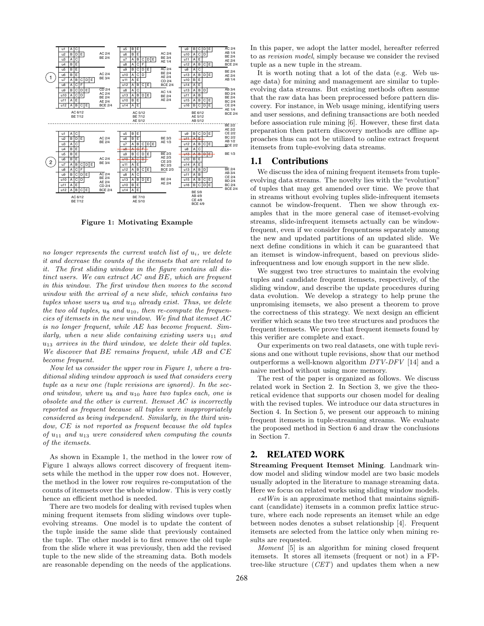

Figure 1: Motivating Example

no longer represents the current watch list of  $u_i$ , we delete it and decrease the counts of the itemsets that are related to it. The first sliding window in the figure contains all distinct users. We can extract  $AC$  and  $BE$ , which are frequent in this window. The first window then moves to the second window with the arrival of a new slide, which contains two tuples whose users  $u_8$  and  $u_{10}$  already exist. Thus, we delete the two old tuples, us and  $u_{10}$ , then re-compute the frequencies of itemsets in the new window. We find that itemset AC is no longer frequent, while AE has become frequent. Similarly, when a new slide containing existing users  $u_{11}$  and  $u_{13}$  arrives in the third window, we delete their old tuples. We discover that BE remains frequent, while AB and CE become frequent.

Now let us consider the upper row in Figure 1, where a traditional sliding window approach is used that considers every tuple as a new one (tuple revisions are ignored). In the sec- $\it{ond\ window},$  where  $u_8$  and  $u_{10}$  have two tuples each, one is obsolete and the other is current. Itemset AC is incorrectly reported as frequent because all tuples were inappropriately considered as being independent. Similarly, in the third window, CE is not reported as frequent because the old tuples of  $u_{11}$  and  $u_{13}$  were considered when computing the counts of the itemsets.

As shown in Example 1, the method in the lower row of Figure 1 always allows correct discovery of frequent itemsets while the method in the upper row does not. However, the method in the lower row requires re-computation of the counts of itemsets over the whole window. This is very costly hence an efficient method is needed.

There are two models for dealing with revised tuples when mining frequent itemsets from sliding windows over tupleevolving streams. One model is to update the content of the tuple inside the same slide that previously contained the tuple. The other model is to first remove the old tuple from the slide where it was previously, then add the revised tuple to the new slide of the streaming data. Both models are reasonable depending on the needs of the applications.

In this paper, we adopt the latter model, hereafter referred to as revision model, simply because we consider the revised tuple as a new tuple in the stream.

It is worth noting that a lot of the data (e.g. Web usage data) for mining and management are similar to tupleevolving data streams. But existing methods often assume that the raw data has been preprocessed before pattern discovery. For instance, in Web usage mining, identifying users and user sessions, and defining transactions are both needed before association rule mining [6]. However, these first data preparation then pattern discovery methods are offline approaches thus can not be utilized to online extract frequent itemsets from tuple-evolving data streams.

#### 1.1 Contributions

We discuss the idea of mining frequent itemsets from tupleevolving data streams. The novelty lies with the "evolution" of tuples that may get amended over time. We prove that in streams without evolving tuples slide-infrequent itemsets cannot be window-frequent. Then we show through examples that in the more general case of itemset-evolving streams, slide-infrequent itemsets actually can be windowfrequent, even if we consider frequentness separately among the new and updated partitions of an updated slide. We next define conditions in which it can be guaranteed that an itemset is window-infrequent, based on previous slideinfrequentness and low enough support in the new slide.

We suggest two tree structures to maintain the evolving tuples and candidate frequent itemsets, respectively, of the sliding window, and describe the update procedures during data evolution. We develop a strategy to help prune the unpromising itemsets, we also present a theorem to prove the correctness of this strategy. We next design an efficient verifier which scans the two tree structures and produces the frequent itemsets. We prove that frequent itemsets found by this verifier are complete and exact.

Our experiments on two real datasets, one with tuple revisions and one without tuple revisions, show that our method outperforms a well-known algorithm DTV-DFV [14] and a naive method without using more memory.

The rest of the paper is organized as follows. We discuss related work in Section 2. In Section 3, we give the theoretical evidence that supports our chosen model for dealing with the revised tuples. We introduce our data structures in Section 4. In Section 5, we present our approach to mining frequent itemsets in tuple-streaming streams. We evaluate the proposed method in Section 6 and draw the conclusions in Section 7.

#### 2. RELATED WORK

Streaming Frequent Itemset Mining. Landmark window model and sliding window model are two basic models usually adopted in the literature to manage streaming data. Here we focus on related works using sliding window models.

 $estWin$  is an approximate method that maintains significant (candidate) itemsets in a common prefix lattice structure, where each node represents an itemset while an edge between nodes denotes a subset relationship [4]. Frequent itemsets are selected from the lattice only when mining results are requested.

Moment [5] is an algorithm for mining closed frequent itemsets. It stores all itemsets (frequent or not) in a FPtree-like structure  $(CET)$  and updates them when a new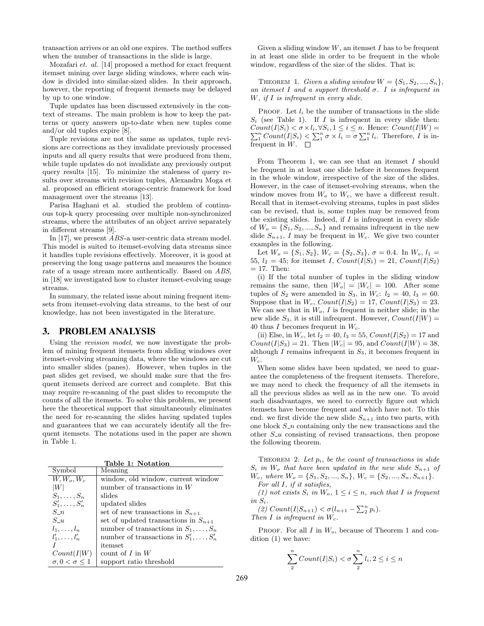transaction arrives or an old one expires. The method suffers when the number of transactions in the slide is large.

Mozafari et. al. [14] proposed a method for exact frequent itemset mining over large sliding windows, where each window is divided into similar-sized slides. In their approach, however, the reporting of frequent itemsets may be delayed by up to one window.

Tuple updates has been discussed extensively in the context of streams. The main problem is how to keep the patterns or query answers up-to-date when new tuples come and/or old tuples expire [8].

Tuple revisions are not the same as updates, tuple revisions are corrections as they invalidate previously processed inputs and all query results that were produced from them, while tuple updates do not invalidate any previously output query results [15]. To minimize the staleness of query results over streams with revision tuples, Alexandru Moga et al. proposed an efficient storage-centric framework for load management over the streams [13].

Parisa Haghani et al. studied the problem of continuous top-k query processing over multiple non-synchronized streams, where the attributes of an object arrive separately in different streams [9].

In [17], we present *ABS*-a user-centric data stream model. This model is suited to itemset-evolving data streams since it handles tuple revisions effectively. Moreover, it is good at preserving the long usage patterns and measures the bounce rate of a usage stream more authentically. Based on ABS, in [18] we investigated how to cluster itemset-evolving usage streams.

In summary, the related issue about mining frequent itemsets from itemset-evolving data streams, to the best of our knowledge, has not been investigated in the literature.

#### 3. PROBLEM ANALYSIS

Using the revision model, we now investigate the problem of mining frequent itemsets from sliding windows over itemset-evolving streaming data, where the windows are cut into smaller slides (panes). However, when tuples in the past slides get revised, we should make sure that the frequent itemsets derived are correct and complete. But this may require re-scanning of the past slides to recompute the counts of all the itemsets. To solve this problem, we present here the theoretical support that simultaneously eliminates the need for re-scanning the slides having updated tuples and guarantees that we can accurately identify all the frequent itemsets. The notations used in the paper are shown in Table 1.

| Table 1: Notation           |                                                |
|-----------------------------|------------------------------------------------|
| Symbol                      | Meaning                                        |
| $W, W_o, W_c$               | window, old window, current window             |
| W                           | number of transactions in $W$                  |
| $S_1,\ldots,S_n$            | slides                                         |
| $S'_1,\ldots,S'_n$          | updated slides                                 |
| $S_{-n}$                    | set of new transactions in $S_{n+1}$           |
| $S_{-}u$                    | set of updated transactions in $S_{n+1}$       |
| $l_1,\ldots,l_n$            | number of transactions in $S_1, \ldots, S_n$   |
| $l'_1, \ldots, l'_n$        | number of transactions in $S'_1, \ldots, S'_n$ |
|                             | itemset                                        |
| Count(I W)                  | count of $I$ in $W$                            |
| $\sigma, 0 < \sigma \leq 1$ | support ratio threshold                        |

Given a sliding window  $W$ , an itemset I has to be frequent in at least one slide in order to be frequent in the whole window, regardless of the size of the slides. That is:

THEOREM 1. Given a sliding window  $W = \{S_1, S_2, ..., S_n\},\$ an itemset I and a support threshold  $\sigma$ . I is infrequent in W, if I is infrequent in every slide.

PROOF. Let  $l_i$  be the number of transactions in the slide  $S_i$  (see Table 1). If I is infrequent in every slide then:  $Count(I|S_i) < \sigma \times l_i, \forall S_i, 1 \leq i \leq n$ . Hence:  $Count(I|W)$  $\sum_{i=1}^{n} Count(I|S_i) < \sum_{i=1}^{n} \sigma \times l_i = \sigma \sum_{i=1}^{n} l_i$ . Therefore, I is infrequent in W.

From Theorem 1, we can see that an itemset  $I$  should be frequent in at least one slide before it becomes frequent in the whole window, irrespective of the size of the slides. However, in the case of itemset-evolving streams, when the window moves from  $W_o$  to  $W_c$ , we have a different result. Recall that in itemset-evolving streams, tuples in past slides can be revised, that is, some tuples may be removed from the existing slides. Indeed, if  $I$  is infrequent in every slide of  $W_0 = \{S_1, S_2, ..., S_n\}$  and remains infrequent in the new slide  $S_{n+1}$ , I may be frequent in  $W_c$ . We give two counter examples in the following.

Let  $W_o = \{S_1, S_2\}, W_c = \{S_2, S_3\}, \sigma = 0.4$ . In  $W_o, l_1 =$ 55,  $l_2 = 45$ ; for itemset I,  $Count(I|S_1) = 21$ ,  $Count(I|S_2)$  $= 17$ . Then:

(i) If the total number of tuples in the sliding window remains the same, then  $|W_o| = |W_c| = 100$ . After some tuples of  $S_2$  were amended in  $S_3$ , in  $W_c$ :  $l_2 = 40$ ,  $l_3 = 60$ . Suppose that in  $W_c$ ,  $Count(I|S_2) = 17$ ,  $Count(I|S_3) = 23$ . We can see that in  $W<sub>o</sub>$ , I is frequent in neither slide; in the new slide  $S_3$ , it is still infrequent. However,  $Count(I|W)$  = 40 thus I becomes frequent in  $W_c$ .

(ii) Else, in  $W_c$ , let  $l_2 = 40$ ,  $l_3 = 55$ ,  $Count(I|S_2) = 17$  and  $Count(I|S_3) = 21$ . Then  $|W_c| = 95$ , and  $Count(I|W) = 38$ , although  $I$  remains infrequent in  $S_3$ , it becomes frequent in  $W_c$ .

When some slides have been updated, we need to guarantee the completeness of the frequent itemsets. Therefore, we may need to check the frequency of all the itemsets in all the previous slides as well as in the new one. To avoid such disadvantages, we need to correctly figure out which itemsets have become frequent and which have not. To this end. we first divide the new slide  $S_{n+1}$  into two parts, with one block  $S<sub>n</sub>$  containing only the new transactions and the other  $S_{-}u$  consisting of revised transactions, then propose the following theorem.

THEOREM 2. Let  $p_i$ , be the count of transactions in slide  $S_i$  in  $W_o$  that have been updated in the new slide  $S_{n+1}$  of  $W_c$ , where  $W_o = \{S_1, S_2, ..., S_n\}$ ,  $W_c = \{S_2, ..., S_n, S_{n+1}\}$ .

For all I, if it satisfies,

(1) not exists  $S_i$  in  $W_o$ ,  $1 \leq i \leq n$ , such that I is frequent in  $S_i$ .

(2)  $Count(I|S_{n+1}) < \sigma(l_{n+1} - \sum_{2}^{n} p_i).$ Then I is infrequent in  $W_c$ .

PROOF. For all  $I$  in  $W<sub>o</sub>$ , because of Theorem 1 and condition  $(1)$  we have:

$$
\sum_{2}^{n} Count(I|S_i) < \sigma \sum_{2}^{n} l_i, 2 \leq i \leq n
$$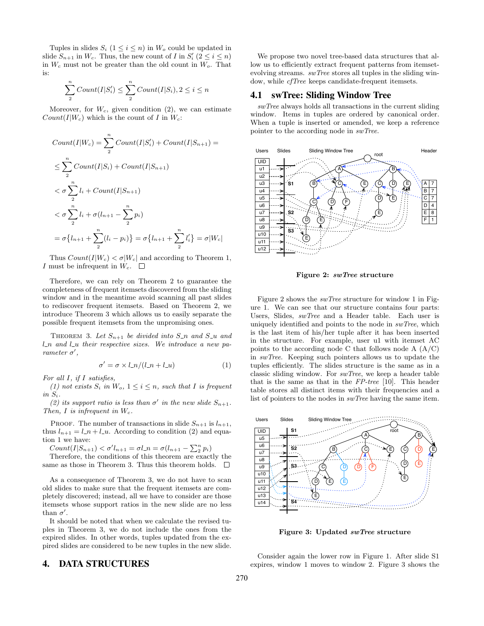Tuples in slides  $S_i$   $(1 \leq i \leq n)$  in  $W_o$  could be updated in slide  $S_{n+1}$  in  $W_c$ . Thus, the new count of I in  $S_i'$   $(2 \leq i \leq n)$ in  $W_c$  must not be greater than the old count in  $W_o$ . That is:

$$
\sum_{2}^{n} Count(I|S'_{i}) \leq \sum_{2}^{n} Count(I|S_{i}), 2 \leq i \leq n
$$

Moreover, for  $W_c$ , given condition (2), we can estimate  $Count(I|W_c)$  which is the count of I in  $W_c$ :

$$
Count(I|W_c) = \sum_{2}^{n} Count(I|S'_i) + Count(I|S_{n+1}) =
$$
\n
$$
\leq \sum_{2}^{n} Count(I|S_i) + Count(I|S_{n+1})
$$
\n
$$
< \sigma \sum_{2}^{n} l_i + Count(I|S_{n+1})
$$
\n
$$
< \sigma \sum_{2}^{n} l_i + \sigma(l_{n+1} - \sum_{2}^{n} p_i)
$$
\n
$$
= \sigma \{l_{n+1} + \sum_{2}^{n} (l_i - p_i) \} = \sigma \{l_{n+1} + \sum_{2}^{n} l'_i \} = \sigma |W_c|
$$

Thus  $Count(I|W_c) < \sigma |W_c|$  and according to Theorem 1, I must be infrequent in  $W_c$ .  $\Box$ 

Therefore, we can rely on Theorem 2 to guarantee the completeness of frequent itemsets discovered from the sliding window and in the meantime avoid scanning all past slides to rediscover frequent itemsets. Based on Theorem 2, we introduce Theorem 3 which allows us to easily separate the possible frequent itemsets from the unpromising ones.

THEOREM 3. Let  $S_{n+1}$  be divided into  $S_n$  and  $S_n$  and  $l_n$  and  $l_n$  their respective sizes. We introduce a new parameter  $\sigma'$ ,

$$
\sigma' = \sigma \times l_n / (l_n + l_n)
$$
 (1)

For all I, if I satisfies,

(1) not exists  $S_i$  in  $W_o$ ,  $1 \leq i \leq n$ , such that I is frequent in  $S_i$ .

(2) its support ratio is less than  $\sigma'$  in the new slide  $S_{n+1}$ . Then,  $I$  is infrequent in  $W_c$ .

PROOF. The number of transactions in slide  $S_{n+1}$  is  $l_{n+1}$ , thus  $l_{n+1} = l_n + l_n$ . According to condition (2) and equation 1 we have:

 $Count(I|S_{n+1}) < \sigma' l_{n+1} = \sigma l_n = \sigma(l_{n+1} - \sum_{i=1}^{n} p_i)$ 

Therefore, the conditions of this theorem are exactly the same as those in Theorem 3. Thus this theorem holds.  $\Box$ 

As a consequence of Theorem 3, we do not have to scan old slides to make sure that the frequent itemsets are completely discovered; instead, all we have to consider are those itemsets whose support ratios in the new slide are no less than  $\sigma'$ .

It should be noted that when we calculate the revised tuples in Theorem 3, we do not include the ones from the expired slides. In other words, tuples updated from the expired slides are considered to be new tuples in the new slide.

#### 4. DATA STRUCTURES

We propose two novel tree-based data structures that allow us to efficiently extract frequent patterns from itemsetevolving streams. swTree stores all tuples in the sliding window, while *cfTree* keeps candidate-frequent itemsets.

#### 4.1 swTree: Sliding Window Tree

swTree always holds all transactions in the current sliding window. Items in tuples are ordered by canonical order. When a tuple is inserted or amended, we keep a reference pointer to the according node in swTree.



Figure 2: swTree structure

Figure 2 shows the swTree structure for window 1 in Figure 1. We can see that our structure contains four parts: Users, Slides, swTree and a Header table. Each user is uniquely identified and points to the node in  $\textit{swTree}$ , which is the last item of his/her tuple after it has been inserted in the structure. For example, user u1 with itemset AC points to the according node C that follows node A (A/C) in swTree. Keeping such pointers allows us to update the tuples efficiently. The slides structure is the same as in a classic sliding window. For swTree, we keep a header table that is the same as that in the FP-tree [10]. This header table stores all distinct items with their frequencies and a list of pointers to the nodes in swTree having the same item.



Figure 3: Updated swTree structure

Consider again the lower row in Figure 1. After slide S1 expires, window 1 moves to window 2. Figure 3 shows the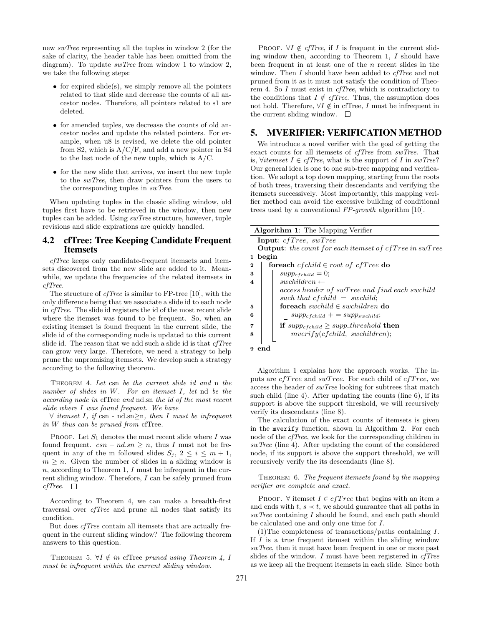new swTree representing all the tuples in window 2 (for the sake of clarity, the header table has been omitted from the diagram). To update *swTree* from window 1 to window 2, we take the following steps:

- for expired slide(s), we simply remove all the pointers related to that slide and decrease the counts of all ancestor nodes. Therefore, all pointers related to s1 are deleted.
- for amended tuples, we decrease the counts of old ancestor nodes and update the related pointers. For example, when u8 is revised, we delete the old pointer from S2, which is  $A/C/F$ , and add a new pointer in S4 to the last node of the new tuple, which is A/C.
- for the new slide that arrives, we insert the new tuple to the swTree, then draw pointers from the users to the corresponding tuples in swTree.

When updating tuples in the classic sliding window, old tuples first have to be retrieved in the window, then new tuples can be added. Using swTree structure, however, tuple revisions and slide expirations are quickly handled.

#### 4.2 cfTree: Tree Keeping Candidate Frequent Itemsets

cfTree keeps only candidate-frequent itemsets and itemsets discovered from the new slide are added to it. Meanwhile, we update the frequencies of the related itemsets in cfTree.

The structure of *cfTree* is similar to FP-tree [10], with the only difference being that we associate a slide id to each node in cfTree. The slide id registers the id of the most recent slide where the itemset was found to be frequent. So, when an existing itemset is found frequent in the current slide, the slide id of the corresponding node is updated to this current slide id. The reason that we add such a slide id is that *cfTree* can grow very large. Therefore, we need a strategy to help prune the unpromising itemsets. We develop such a strategy according to the following theorem.

Theorem 4. Let csn be the current slide id and n the number of slides in W. For an itemset I, let nd be the according node in cfTree and nd.sn the id of the most recent slide where I was found frequent. We have

 $∀$  itemset I, if csn - nd.sn $≥n$ , then I must be infrequent  $in\,\,W$  thus can be pruned from cfTree.

PROOF. Let  $S_1$  denotes the most recent slide where I was found frequent.  $csn - nd.sn \geq n$ , thus I must not be frequent in any of the m followed slides  $S_j$ ,  $2 \leq i \leq m+1$ ,  $m \geq n$ . Given the number of slides in a sliding window is n, according to Theorem 1,  $I$  must be infrequent in the current sliding window. Therefore, I can be safely pruned from  $cfTree. \square$ 

According to Theorem 4, we can make a breadth-first traversal over cfTree and prune all nodes that satisfy its condition.

But does cfTree contain all itemsets that are actually frequent in the current sliding window? The following theorem answers to this question.

THEOREM 5.  $\forall I \notin in$  cfTree pruned using Theorem 4, I must be infrequent within the current sliding window.

PROOF.  $\forall I \notin \text{cfTree}$ , if I is frequent in the current sliding window then, according to Theorem 1, I should have been frequent in at least one of the  $n$  recent slides in the window. Then  $I$  should have been added to  $cfTree$  and not pruned from it as it must not satisfy the condition of Theorem 4. So I must exist in cfTree, which is contradictory to the conditions that  $I \notin c$  *fTree.* Thus, the assumption does not hold. Therefore,  $\forall I \notin \text{in}$  cfTree, I must be infrequent in the current sliding window.  $\square$ 

#### 5. MVERIFIER: VERIFICATION METHOD

We introduce a novel verifier with the goal of getting the exact counts for all itemsets of cfTree from swTree. That is,  $\forall$ *itemset*  $I \in$  *cfTree*, what is the support of *I* in swTree? Our general idea is one to one sub-tree mapping and verification. We adopt a top down mapping, starting from the roots of both trees, traversing their descendants and verifying the itemsets successively. Most importantly, this mapping verifier method can avoid the excessive building of conditional trees used by a conventional FP-growth algorithm [10].

| <b>Algorithm 1:</b> The Mapping Verifier                             |  |
|----------------------------------------------------------------------|--|
| <b>Input:</b> $cfTree$ , $swTree$                                    |  |
| <b>Output:</b> the count for each itemset of cfTree in swTree        |  |
| begin<br>1                                                           |  |
| <b>foreach</b> cfchild $\in$ root of cfTree <b>do</b><br>$\mathbf 2$ |  |
| $supp_{cfchild}=0;$<br>3                                             |  |
| $suchildren \leftarrow$<br>4                                         |  |
| access header of swTree and find each swchild                        |  |
| such that cfchild $=$ swchild;                                       |  |
| for each swchild $\in$ swchildren do<br>5                            |  |
| $supp_{cfchild}$ + = $supp_{swchild}$ ;<br>6                         |  |
| if $supp_{cfchild} \geq supp\_threshold$ then<br>7                   |  |
| $mverify(cfchild, \;swchildren);$<br>8                               |  |
| я                                                                    |  |

Algorithm 1 explains how the approach works. The inputs are  $cfTree$  and  $swTree$ . For each child of  $cfTree$ , we access the header of swTree looking for subtrees that match such child (line 4). After updating the counts (line 6), if its support is above the support threshold, we will recursively verify its descendants (line 8).

The calculation of the exact counts of itemsets is given in the mverify function, shown in Algorithm 2. For each node of the *cfTree*, we look for the corresponding children in swTree (line 4). After updating the count of the considered node, if its support is above the support threshold, we will recursively verify the its descendants (line 8).

THEOREM 6. The frequent itemsets found by the mapping verifier are complete and exact.

PROOF.  $\forall$  itemset  $I \in c$  f *Tree* that begins with an item s and ends with  $t, s \prec t$ , we should guarantee that all paths in swTree containing I should be found, and each path should be calculated one and only one time for I.

(1)The completeness of transactions/paths containing I. If I is a true frequent itemset within the sliding window swTree, then it must have been frequent in one or more past slides of the window.  $I$  must have been registered in  $cfTree$ as we keep all the frequent itemsets in each slide. Since both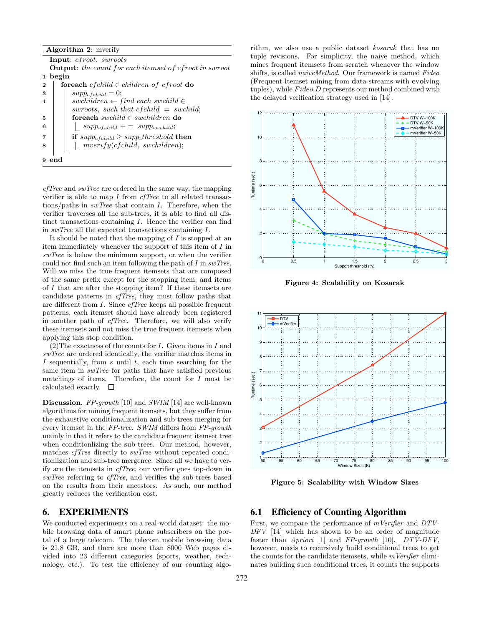#### Algorithm 2: mverify

Input: cfroot, swroots

Output: the count for each itemset of cfroot in swroot 1 begin 2 foreach cfchild  $\in$  children of cfroot do  $3 \mid$  supp<sub>cf child</sub> = 0; 4 | swchildren ← find each swchild  $\in$ 

swroots, such that cfchild  $=$  swchild; 5  $\vert$  foreach swchild  $\in$  swchildren do 6 | |  $\supp_{cfchild} += supp_{swchild};$ 7 if  $supp_{c\text{-}fchild} \geq supp\_threshold$  then  $8$  | | mverify(cfchild, swchildren); 9 end

cfTree and swTree are ordered in the same way, the mapping verifier is able to map  $I$  from  $cfTree$  to all related transactions/paths in  $swTree$  that contain  $I$ . Therefore, when the verifier traverses all the sub-trees, it is able to find all distinct transactions containing  $I$ . Hence the verifier can find in swTree all the expected transactions containing I.

It should be noted that the mapping of  $I$  is stopped at an item immediately whenever the support of this item of I in swTree is below the minimum support, or when the verifier could not find such an item following the path of I in swTree. Will we miss the true frequent itemsets that are composed of the same prefix except for the stopping item, and items of I that are after the stopping item? If these itemsets are candidate patterns in cfTree, they must follow paths that are different from I. Since cfTree keeps all possible frequent patterns, each itemset should have already been registered in another path of cfTree. Therefore, we will also verify these itemsets and not miss the true frequent itemsets when applying this stop condition.

 $(2)$ The exactness of the counts for I. Given items in I and swTree are ordered identically, the verifier matches items in I sequentially, from  $s$  until  $t$ , each time searching for the same item in *swTree* for paths that have satisfied previous matchings of items. Therefore, the count for  $I$  must be calculated exactly.  $\quad \Box$ 

Discussion. FP-growth [10] and SWIM [14] are well-known algorithms for mining frequent itemsets, but they suffer from the exhaustive conditionalization and sub-trees merging for every itemset in the FP-tree. SWIM differs from FP-growth mainly in that it refers to the candidate frequent itemset tree when conditionlizing the sub-trees. Our method, however, matches cfTree directly to swTree without repeated conditionlization and sub-tree mergence. Since all we have to verify are the itemsets in cfTree, our verifier goes top-down in swTree referring to *cfTree*, and verifies the sub-trees based on the results from their ancestors. As such, our method greatly reduces the verification cost.

## 6. EXPERIMENTS

We conducted experiments on a real-world dataset: the mobile browsing data of smart phone subscribers on the portal of a large telecom. The telecom mobile browsing data is 21.8 GB, and there are more than 8000 Web pages divided into 23 different categories (sports, weather, technology, etc.). To test the efficiency of our counting algorithm, we also use a public dataset kosarak that has no tuple revisions. For simplicity, the naive method, which mines frequent itemsets from scratch whenever the window shifts, is called naiveMethod. Our framework is named Fideo (Frequent itemset mining from data streams with evolving tuples), while  $Fideo.D$  represents our method combined with the delayed verification strategy used in [14].



Figure 4: Scalability on Kosarak



Figure 5: Scalability with Window Sizes

#### 6.1 Efficiency of Counting Algorithm

First, we compare the performance of mVerifier and DTV-DFV [14] which has shown to be an order of magnitude faster than Apriori [1] and FP-growth [10]. DTV-DFV, however, needs to recursively build conditional trees to get the counts for the candidate itemsets, while mVerifier eliminates building such conditional trees, it counts the supports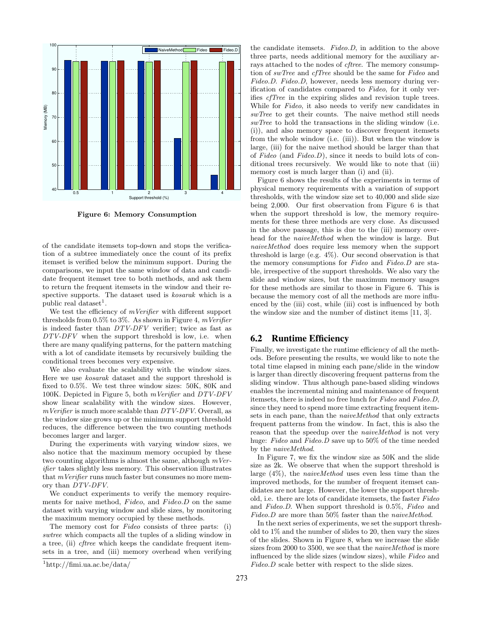

Figure 6: Memory Consumption

of the candidate itemsets top-down and stops the verification of a subtree immediately once the count of its prefix itemset is verified below the minimum support. During the comparisons, we input the same window of data and candidate frequent itemset tree to both methods, and ask them to return the frequent itemsets in the window and their respective supports. The dataset used is kosarak which is a public real dataset<sup>1</sup>.

We test the efficiency of  $m\textit{Verifier}$  with different support thresholds from  $0.5\%$  to  $3\%$ . As shown in Figure 4, *mVerifier* is indeed faster than DTV-DFV verifier; twice as fast as  $DTV-DFV$  when the support threshold is low, i.e. when there are many qualifying patterns, for the pattern matching with a lot of candidate itemsets by recursively building the conditional trees becomes very expensive.

We also evaluate the scalability with the window sizes. Here we use kosarak dataset and the support threshold is fixed to 0.5%. We test three window sizes: 50K, 80K and 100K. Depicted in Figure 5, both mVerifier and DTV-DFV show linear scalability with the window sizes. However,  $m\text{Verifier}$  is much more scalable than  $DTV-DFV$ . Overall, as the window size grows up or the minimum support threshold reduces, the difference between the two counting methods becomes larger and larger.

During the experiments with varying window sizes, we also notice that the maximum memory occupied by these two counting algorithms is almost the same, although  $mVer$ ifier takes slightly less memory. This observation illustrates that mVerifier runs much faster but consumes no more memory than DTV-DFV.

We conduct experiments to verify the memory requirements for naive method,  $Fideo$ , and  $Fideo$ . On the same dataset with varying window and slide sizes, by monitoring the maximum memory occupied by these methods.

The memory cost for Fideo consists of three parts: (i) swtree which compacts all the tuples of a sliding window in a tree, (ii) cftree which keeps the candidate frequent itemsets in a tree, and (iii) memory overhead when verifying the candidate itemsets. Fideo.D, in addition to the above three parts, needs additional memory for the auxiliary arrays attached to the nodes of *cftree*. The memory consumption of swTree and cfTree should be the same for Fideo and Fideo.D. Fideo.D, however, needs less memory during verification of candidates compared to Fideo, for it only verifies cfTree in the expiring slides and revision tuple trees. While for Fideo, it also needs to verify new candidates in swTree to get their counts. The naive method still needs swTree to hold the transactions in the sliding window (i.e. (i)), and also memory space to discover frequent itemsets from the whole window (i.e. (iii)). But when the window is large, (iii) for the naive method should be larger than that of Fideo (and Fideo.D), since it needs to build lots of conditional trees recursively. We would like to note that (iii) memory cost is much larger than (i) and (ii).

Figure 6 shows the results of the experiments in terms of physical memory requirements with a variation of support thresholds, with the window size set to 40,000 and slide size being 2,000. Our first observation from Figure 6 is that when the support threshold is low, the memory requirements for these three methods are very close. As discussed in the above passage, this is due to the (iii) memory overhead for the naiveMethod when the window is large. But naiveMethod does require less memory when the support threshold is large (e.g. 4%). Our second observation is that the memory consumptions for Fideo and Fideo.D are stable, irrespective of the support thresholds. We also vary the slide and window sizes, but the maximum memory usages for these methods are similar to those in Figure 6. This is because the memory cost of all the methods are more influenced by the (iii) cost, while (iii) cost is influenced by both the window size and the number of distinct items [11, 3].

#### 6.2 Runtime Efficiency

Finally, we investigate the runtime efficiency of all the methods. Before presenting the results, we would like to note the total time elapsed in mining each pane/slide in the window is larger than directly discovering frequent patterns from the sliding window. Thus although pane-based sliding windows enables the incremental mining and maintenance of frequent itemsets, there is indeed no free lunch for Fideo and Fideo.D, since they need to spend more time extracting frequent itemsets in each pane, than the naiveMethod that only extracts frequent patterns from the window. In fact, this is also the reason that the speedup over the naiveMethod is not very huge: Fideo and Fideo. D save up to 50% of the time needed by the naiveMethod.

In Figure 7, we fix the window size as 50K and the slide size as 2k. We observe that when the support threshold is large (4%), the naiveMethod uses even less time than the improved methods, for the number of frequent itemset candidates are not large. However, the lower the support threshold, i.e. there are lots of candidate itemsets, the faster Fideo and Fideo.D. When support threshold is 0.5%, Fideo and Fideo. D are more than 50% faster than the *naiveMethod*.

In the next series of experiments, we set the support threshold to 1% and the number of slides to 20, then vary the sizes of the slides. Shown in Figure 8, when we increase the slide sizes from 2000 to 3500, we see that the *naiveMethod* is more influenced by the slide sizes (window sizes), while Fideo and Fideo. D scale better with respect to the slide sizes.

 $1$ http://fimi.ua.ac.be/data/